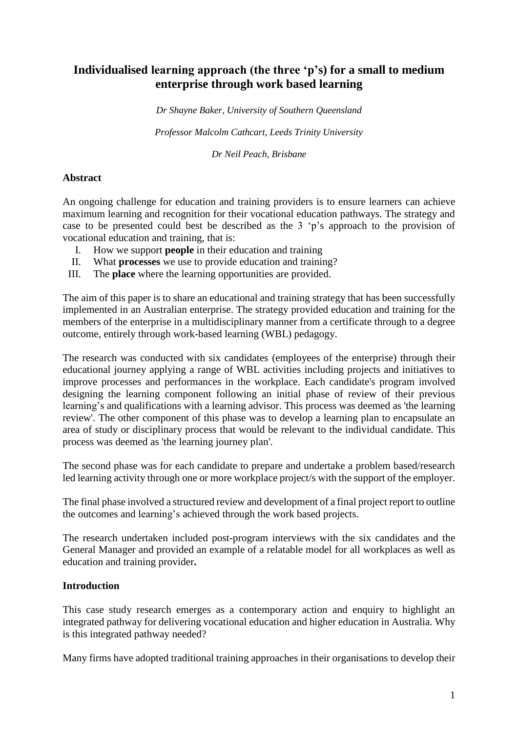# **Individualised learning approach (the three 'p's) for a small to medium enterprise through work based learning**

*Dr Shayne Baker, University of Southern Queensland*

*Professor Malcolm Cathcart, Leeds Trinity University*

*Dr Neil Peach, Brisbane*

### **Abstract**

An ongoing challenge for education and training providers is to ensure learners can achieve maximum learning and recognition for their vocational education pathways. The strategy and case to be presented could best be described as the 3 'p's approach to the provision of vocational education and training, that is:

- I. How we support **people** in their education and training
- II. What **processes** we use to provide education and training?
- III. The **place** where the learning opportunities are provided.

The aim of this paper is to share an educational and training strategy that has been successfully implemented in an Australian enterprise. The strategy provided education and training for the members of the enterprise in a multidisciplinary manner from a certificate through to a degree outcome, entirely through work-based learning (WBL) pedagogy.

The research was conducted with six candidates (employees of the enterprise) through their educational journey applying a range of WBL activities including projects and initiatives to improve processes and performances in the workplace. Each candidate's program involved designing the learning component following an initial phase of review of their previous learning's and qualifications with a learning advisor. This process was deemed as 'the learning review'. The other component of this phase was to develop a learning plan to encapsulate an area of study or disciplinary process that would be relevant to the individual candidate. This process was deemed as 'the learning journey plan'.

The second phase was for each candidate to prepare and undertake a problem based/research led learning activity through one or more workplace project/s with the support of the employer.

The final phase involved a structured review and development of a final project report to outline the outcomes and learning's achieved through the work based projects.

The research undertaken included post-program interviews with the six candidates and the General Manager and provided an example of a relatable model for all workplaces as well as education and training provider**.**

## **Introduction**

This case study research emerges as a contemporary action and enquiry to highlight an integrated pathway for delivering vocational education and higher education in Australia. Why is this integrated pathway needed?

Many firms have adopted traditional training approaches in their organisations to develop their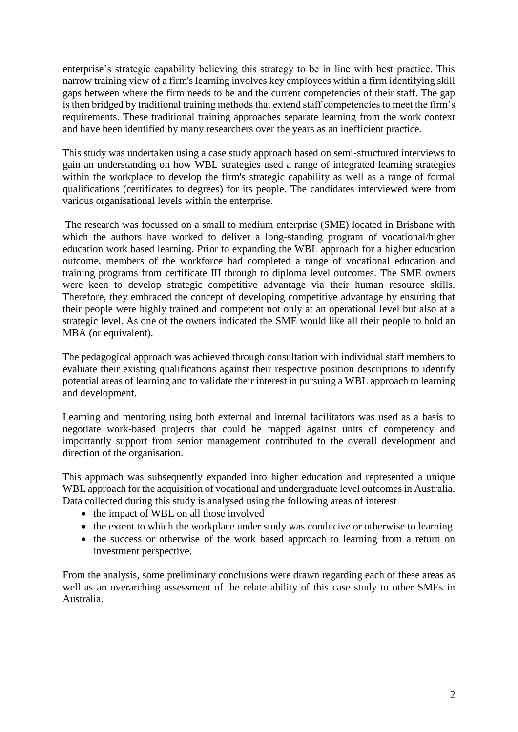enterprise's strategic capability believing this strategy to be in line with best practice. This narrow training view of a firm's learning involves key employees within a firm identifying skill gaps between where the firm needs to be and the current competencies of their staff. The gap is then bridged by traditional training methods that extend staff competencies to meet the firm's requirements. These traditional training approaches separate learning from the work context and have been identified by many researchers over the years as an inefficient practice.

This study was undertaken using a case study approach based on semi-structured interviews to gain an understanding on how WBL strategies used a range of integrated learning strategies within the workplace to develop the firm's strategic capability as well as a range of formal qualifications (certificates to degrees) for its people. The candidates interviewed were from various organisational levels within the enterprise.

The research was focussed on a small to medium enterprise (SME) located in Brisbane with which the authors have worked to deliver a long-standing program of vocational/higher education work based learning. Prior to expanding the WBL approach for a higher education outcome, members of the workforce had completed a range of vocational education and training programs from certificate III through to diploma level outcomes. The SME owners were keen to develop strategic competitive advantage via their human resource skills. Therefore, they embraced the concept of developing competitive advantage by ensuring that their people were highly trained and competent not only at an operational level but also at a strategic level. As one of the owners indicated the SME would like all their people to hold an MBA (or equivalent).

The pedagogical approach was achieved through consultation with individual staff members to evaluate their existing qualifications against their respective position descriptions to identify potential areas of learning and to validate their interest in pursuing a WBL approach to learning and development.

Learning and mentoring using both external and internal facilitators was used as a basis to negotiate work-based projects that could be mapped against units of competency and importantly support from senior management contributed to the overall development and direction of the organisation.

This approach was subsequently expanded into higher education and represented a unique WBL approach for the acquisition of vocational and undergraduate level outcomes in Australia. Data collected during this study is analysed using the following areas of interest

- the impact of WBL on all those involved
- the extent to which the workplace under study was conducive or otherwise to learning
- the success or otherwise of the work based approach to learning from a return on investment perspective.

From the analysis, some preliminary conclusions were drawn regarding each of these areas as well as an overarching assessment of the relate ability of this case study to other SMEs in Australia.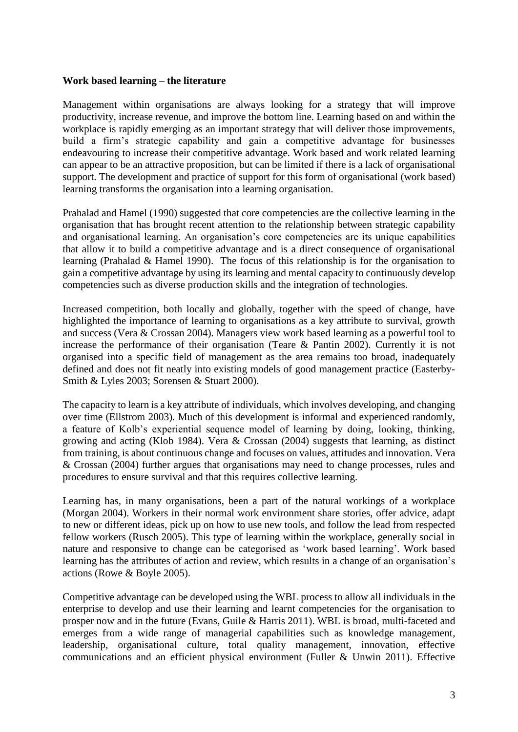#### **Work based learning – the literature**

Management within organisations are always looking for a strategy that will improve productivity, increase revenue, and improve the bottom line. Learning based on and within the workplace is rapidly emerging as an important strategy that will deliver those improvements, build a firm's strategic capability and gain a competitive advantage for businesses endeavouring to increase their competitive advantage. Work based and work related learning can appear to be an attractive proposition, but can be limited if there is a lack of organisational support. The development and practice of support for this form of organisational (work based) learning transforms the organisation into a learning organisation.

Prahalad and Hamel (1990) suggested that core competencies are the collective learning in the organisation that has brought recent attention to the relationship between strategic capability and organisational learning. An organisation's core competencies are its unique capabilities that allow it to build a competitive advantage and is a direct consequence of organisational learning (Prahalad & Hamel 1990). The focus of this relationship is for the organisation to gain a competitive advantage by using its learning and mental capacity to continuously develop competencies such as diverse production skills and the integration of technologies.

Increased competition, both locally and globally, together with the speed of change, have highlighted the importance of learning to organisations as a key attribute to survival, growth and success (Vera & Crossan 2004). Managers view work based learning as a powerful tool to increase the performance of their organisation (Teare & Pantin 2002). Currently it is not organised into a specific field of management as the area remains too broad, inadequately defined and does not fit neatly into existing models of good management practice (Easterby-Smith & Lyles 2003; Sorensen & Stuart 2000).

The capacity to learn is a key attribute of individuals, which involves developing, and changing over time (Ellstrom 2003). Much of this development is informal and experienced randomly, a feature of Kolb's experiential sequence model of learning by doing, looking, thinking, growing and acting (Klob 1984). Vera & Crossan (2004) suggests that learning, as distinct from training, is about continuous change and focuses on values, attitudes and innovation. Vera & Crossan (2004) further argues that organisations may need to change processes, rules and procedures to ensure survival and that this requires collective learning.

Learning has, in many organisations, been a part of the natural workings of a workplace (Morgan 2004). Workers in their normal work environment share stories, offer advice, adapt to new or different ideas, pick up on how to use new tools, and follow the lead from respected fellow workers (Rusch 2005). This type of learning within the workplace, generally social in nature and responsive to change can be categorised as 'work based learning'. Work based learning has the attributes of action and review, which results in a change of an organisation's actions (Rowe & Boyle 2005).

Competitive advantage can be developed using the WBL process to allow all individuals in the enterprise to develop and use their learning and learnt competencies for the organisation to prosper now and in the future (Evans, Guile & Harris 2011). WBL is broad, multi-faceted and emerges from a wide range of managerial capabilities such as knowledge management, leadership, organisational culture, total quality management, innovation, effective communications and an efficient physical environment (Fuller & Unwin 2011). Effective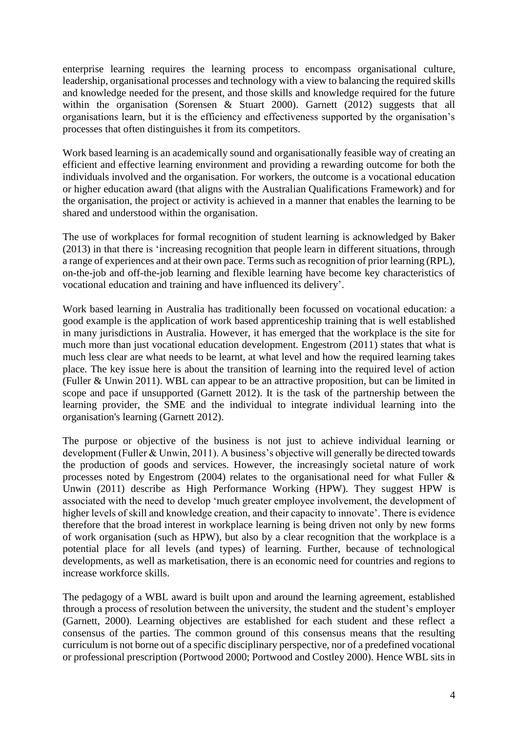enterprise learning requires the learning process to encompass organisational culture, leadership, organisational processes and technology with a view to balancing the required skills and knowledge needed for the present, and those skills and knowledge required for the future within the organisation (Sorensen & Stuart 2000). Garnett (2012) suggests that all organisations learn, but it is the efficiency and effectiveness supported by the organisation's processes that often distinguishes it from its competitors.

Work based learning is an academically sound and organisationally feasible way of creating an efficient and effective learning environment and providing a rewarding outcome for both the individuals involved and the organisation. For workers, the outcome is a vocational education or higher education award (that aligns with the Australian Qualifications Framework) and for the organisation, the project or activity is achieved in a manner that enables the learning to be shared and understood within the organisation.

The use of workplaces for formal recognition of student learning is acknowledged by Baker (2013) in that there is 'increasing recognition that people learn in different situations, through a range of experiences and at their own pace. Terms such as recognition of prior learning (RPL), on-the-job and off-the-job learning and flexible learning have become key characteristics of vocational education and training and have influenced its delivery'.

Work based learning in Australia has traditionally been focussed on vocational education: a good example is the application of work based apprenticeship training that is well established in many jurisdictions in Australia. However, it has emerged that the workplace is the site for much more than just vocational education development. Engestrom (2011) states that what is much less clear are what needs to be learnt, at what level and how the required learning takes place. The key issue here is about the transition of learning into the required level of action (Fuller & Unwin 2011). WBL can appear to be an attractive proposition, but can be limited in scope and pace if unsupported (Garnett 2012). It is the task of the partnership between the learning provider, the SME and the individual to integrate individual learning into the organisation's learning (Garnett 2012).

The purpose or objective of the business is not just to achieve individual learning or development (Fuller & Unwin, 2011). A business's objective will generally be directed towards the production of goods and services. However, the increasingly societal nature of work processes noted by Engestrom (2004) relates to the organisational need for what Fuller & Unwin (2011) describe as High Performance Working (HPW). They suggest HPW is associated with the need to develop 'much greater employee involvement, the development of higher levels of skill and knowledge creation, and their capacity to innovate'. There is evidence therefore that the broad interest in workplace learning is being driven not only by new forms of work organisation (such as HPW), but also by a clear recognition that the workplace is a potential place for all levels (and types) of learning. Further, because of technological developments, as well as marketisation, there is an economic need for countries and regions to increase workforce skills.

The pedagogy of a WBL award is built upon and around the learning agreement, established through a process of resolution between the university, the student and the student's employer (Garnett, 2000). Learning objectives are established for each student and these reflect a consensus of the parties. The common ground of this consensus means that the resulting curriculum is not borne out of a specific disciplinary perspective, nor of a predefined vocational or professional prescription (Portwood 2000; Portwood and Costley 2000). Hence WBL sits in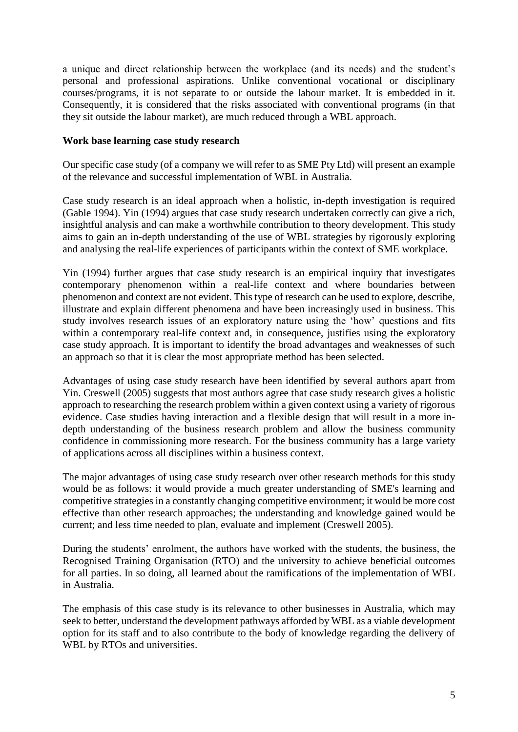a unique and direct relationship between the workplace (and its needs) and the student's personal and professional aspirations. Unlike conventional vocational or disciplinary courses/programs, it is not separate to or outside the labour market. It is embedded in it. Consequently, it is considered that the risks associated with conventional programs (in that they sit outside the labour market), are much reduced through a WBL approach.

### **Work base learning case study research**

Our specific case study (of a company we will refer to as SME Pty Ltd) will present an example of the relevance and successful implementation of WBL in Australia.

Case study research is an ideal approach when a holistic, in-depth investigation is required (Gable 1994). Yin (1994) argues that case study research undertaken correctly can give a rich, insightful analysis and can make a worthwhile contribution to theory development. This study aims to gain an in-depth understanding of the use of WBL strategies by rigorously exploring and analysing the real-life experiences of participants within the context of SME workplace.

Yin (1994) further argues that case study research is an empirical inquiry that investigates contemporary phenomenon within a real-life context and where boundaries between phenomenon and context are not evident. This type of research can be used to explore, describe, illustrate and explain different phenomena and have been increasingly used in business. This study involves research issues of an exploratory nature using the 'how' questions and fits within a contemporary real-life context and, in consequence, justifies using the exploratory case study approach. It is important to identify the broad advantages and weaknesses of such an approach so that it is clear the most appropriate method has been selected.

Advantages of using case study research have been identified by several authors apart from Yin. Creswell (2005) suggests that most authors agree that case study research gives a holistic approach to researching the research problem within a given context using a variety of rigorous evidence. Case studies having interaction and a flexible design that will result in a more indepth understanding of the business research problem and allow the business community confidence in commissioning more research. For the business community has a large variety of applications across all disciplines within a business context.

The major advantages of using case study research over other research methods for this study would be as follows: it would provide a much greater understanding of SME's learning and competitive strategies in a constantly changing competitive environment; it would be more cost effective than other research approaches; the understanding and knowledge gained would be current; and less time needed to plan, evaluate and implement (Creswell 2005).

During the students' enrolment, the authors have worked with the students, the business, the Recognised Training Organisation (RTO) and the university to achieve beneficial outcomes for all parties. In so doing, all learned about the ramifications of the implementation of WBL in Australia.

The emphasis of this case study is its relevance to other businesses in Australia, which may seek to better, understand the development pathways afforded by WBL as a viable development option for its staff and to also contribute to the body of knowledge regarding the delivery of WBL by RTOs and universities.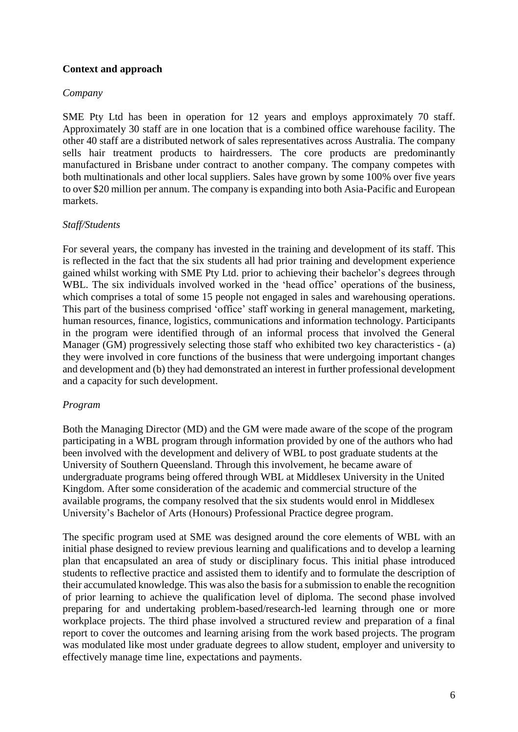## **Context and approach**

### *Company*

SME Pty Ltd has been in operation for 12 years and employs approximately 70 staff. Approximately 30 staff are in one location that is a combined office warehouse facility. The other 40 staff are a distributed network of sales representatives across Australia. The company sells hair treatment products to hairdressers. The core products are predominantly manufactured in Brisbane under contract to another company. The company competes with both multinationals and other local suppliers. Sales have grown by some 100% over five years to over \$20 million per annum. The company is expanding into both Asia-Pacific and European markets.

### *Staff/Students*

For several years, the company has invested in the training and development of its staff. This is reflected in the fact that the six students all had prior training and development experience gained whilst working with SME Pty Ltd. prior to achieving their bachelor's degrees through WBL. The six individuals involved worked in the 'head office' operations of the business, which comprises a total of some 15 people not engaged in sales and warehousing operations. This part of the business comprised 'office' staff working in general management, marketing, human resources, finance, logistics, communications and information technology. Participants in the program were identified through of an informal process that involved the General Manager (GM) progressively selecting those staff who exhibited two key characteristics - (a) they were involved in core functions of the business that were undergoing important changes and development and (b) they had demonstrated an interest in further professional development and a capacity for such development.

## *Program*

Both the Managing Director (MD) and the GM were made aware of the scope of the program participating in a WBL program through information provided by one of the authors who had been involved with the development and delivery of WBL to post graduate students at the University of Southern Queensland. Through this involvement, he became aware of undergraduate programs being offered through WBL at Middlesex University in the United Kingdom. After some consideration of the academic and commercial structure of the available programs, the company resolved that the six students would enrol in Middlesex University's Bachelor of Arts (Honours) Professional Practice degree program.

The specific program used at SME was designed around the core elements of WBL with an initial phase designed to review previous learning and qualifications and to develop a learning plan that encapsulated an area of study or disciplinary focus. This initial phase introduced students to reflective practice and assisted them to identify and to formulate the description of their accumulated knowledge. This was also the basis for a submission to enable the recognition of prior learning to achieve the qualification level of diploma. The second phase involved preparing for and undertaking problem-based/research-led learning through one or more workplace projects. The third phase involved a structured review and preparation of a final report to cover the outcomes and learning arising from the work based projects. The program was modulated like most under graduate degrees to allow student, employer and university to effectively manage time line, expectations and payments.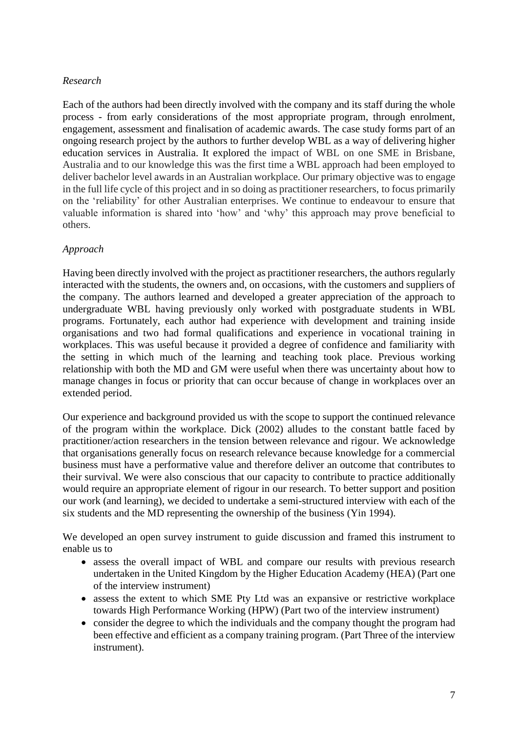## *Research*

Each of the authors had been directly involved with the company and its staff during the whole process - from early considerations of the most appropriate program, through enrolment, engagement, assessment and finalisation of academic awards. The case study forms part of an ongoing research project by the authors to further develop WBL as a way of delivering higher education services in Australia. It explored the impact of WBL on one SME in Brisbane, Australia and to our knowledge this was the first time a WBL approach had been employed to deliver bachelor level awards in an Australian workplace. Our primary objective was to engage in the full life cycle of this project and in so doing as practitioner researchers, to focus primarily on the 'reliability' for other Australian enterprises. We continue to endeavour to ensure that valuable information is shared into 'how' and 'why' this approach may prove beneficial to others.

## *Approach*

Having been directly involved with the project as practitioner researchers, the authors regularly interacted with the students, the owners and, on occasions, with the customers and suppliers of the company. The authors learned and developed a greater appreciation of the approach to undergraduate WBL having previously only worked with postgraduate students in WBL programs. Fortunately, each author had experience with development and training inside organisations and two had formal qualifications and experience in vocational training in workplaces. This was useful because it provided a degree of confidence and familiarity with the setting in which much of the learning and teaching took place. Previous working relationship with both the MD and GM were useful when there was uncertainty about how to manage changes in focus or priority that can occur because of change in workplaces over an extended period.

Our experience and background provided us with the scope to support the continued relevance of the program within the workplace. Dick (2002) alludes to the constant battle faced by practitioner/action researchers in the tension between relevance and rigour. We acknowledge that organisations generally focus on research relevance because knowledge for a commercial business must have a performative value and therefore deliver an outcome that contributes to their survival. We were also conscious that our capacity to contribute to practice additionally would require an appropriate element of rigour in our research. To better support and position our work (and learning), we decided to undertake a semi-structured interview with each of the six students and the MD representing the ownership of the business (Yin 1994).

We developed an open survey instrument to guide discussion and framed this instrument to enable us to

- assess the overall impact of WBL and compare our results with previous research undertaken in the United Kingdom by the Higher Education Academy (HEA) (Part one of the interview instrument)
- assess the extent to which SME Pty Ltd was an expansive or restrictive workplace towards High Performance Working (HPW) (Part two of the interview instrument)
- consider the degree to which the individuals and the company thought the program had been effective and efficient as a company training program. (Part Three of the interview instrument).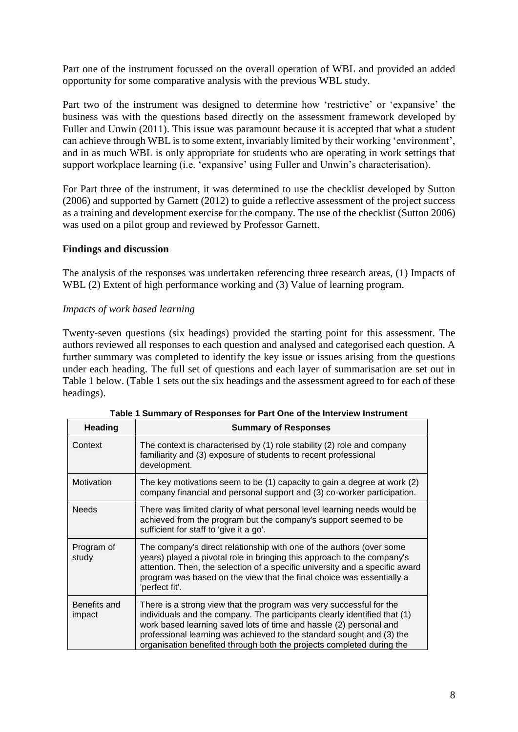Part one of the instrument focussed on the overall operation of WBL and provided an added opportunity for some comparative analysis with the previous WBL study.

Part two of the instrument was designed to determine how 'restrictive' or 'expansive' the business was with the questions based directly on the assessment framework developed by Fuller and Unwin (2011). This issue was paramount because it is accepted that what a student can achieve through WBL is to some extent, invariably limited by their working 'environment', and in as much WBL is only appropriate for students who are operating in work settings that support workplace learning (i.e. 'expansive' using Fuller and Unwin's characterisation).

For Part three of the instrument, it was determined to use the checklist developed by Sutton (2006) and supported by Garnett (2012) to guide a reflective assessment of the project success as a training and development exercise for the company. The use of the checklist (Sutton 2006) was used on a pilot group and reviewed by Professor Garnett.

## **Findings and discussion**

The analysis of the responses was undertaken referencing three research areas, (1) Impacts of WBL (2) Extent of high performance working and (3) Value of learning program.

## *Impacts of work based learning*

Twenty-seven questions (six headings) provided the starting point for this assessment. The authors reviewed all responses to each question and analysed and categorised each question. A further summary was completed to identify the key issue or issues arising from the questions under each heading. The full set of questions and each layer of summarisation are set out in Table 1 below. (Table 1 sets out the six headings and the assessment agreed to for each of these headings).

| <b>Heading</b>         | <b>Summary of Responses</b>                                                                                                                                                                                                                                                                                                                                              |
|------------------------|--------------------------------------------------------------------------------------------------------------------------------------------------------------------------------------------------------------------------------------------------------------------------------------------------------------------------------------------------------------------------|
| Context                | The context is characterised by (1) role stability (2) role and company<br>familiarity and (3) exposure of students to recent professional<br>development.                                                                                                                                                                                                               |
| Motivation             | The key motivations seem to be (1) capacity to gain a degree at work (2)<br>company financial and personal support and (3) co-worker participation.                                                                                                                                                                                                                      |
| <b>Needs</b>           | There was limited clarity of what personal level learning needs would be<br>achieved from the program but the company's support seemed to be<br>sufficient for staff to 'give it a go'.                                                                                                                                                                                  |
| Program of<br>study    | The company's direct relationship with one of the authors (over some<br>years) played a pivotal role in bringing this approach to the company's<br>attention. Then, the selection of a specific university and a specific award<br>program was based on the view that the final choice was essentially a<br>'perfect fit'.                                               |
| Benefits and<br>impact | There is a strong view that the program was very successful for the<br>individuals and the company. The participants clearly identified that (1)<br>work based learning saved lots of time and hassle (2) personal and<br>professional learning was achieved to the standard sought and (3) the<br>organisation benefited through both the projects completed during the |

|  |  |  | Table 1 Summary of Responses for Part One of the Interview Instrument |
|--|--|--|-----------------------------------------------------------------------|
|  |  |  |                                                                       |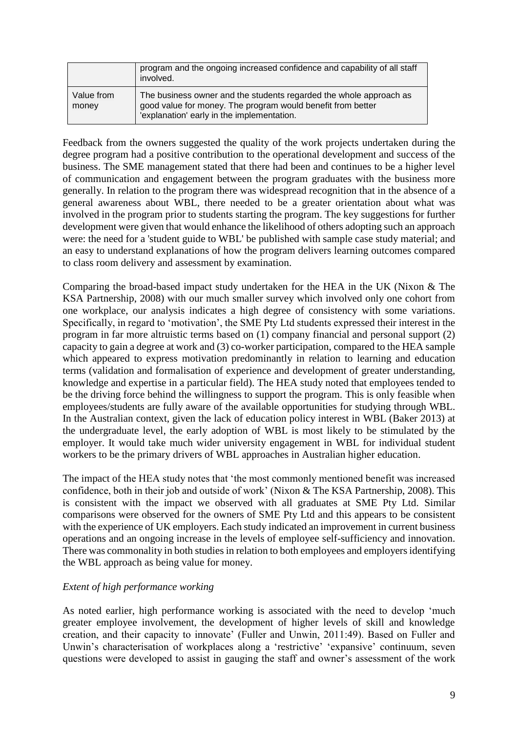|                     | program and the ongoing increased confidence and capability of all staff<br>involved.                                                                                           |
|---------------------|---------------------------------------------------------------------------------------------------------------------------------------------------------------------------------|
| Value from<br>money | The business owner and the students regarded the whole approach as<br>good value for money. The program would benefit from better<br>'explanation' early in the implementation. |

Feedback from the owners suggested the quality of the work projects undertaken during the degree program had a positive contribution to the operational development and success of the business. The SME management stated that there had been and continues to be a higher level of communication and engagement between the program graduates with the business more generally. In relation to the program there was widespread recognition that in the absence of a general awareness about WBL, there needed to be a greater orientation about what was involved in the program prior to students starting the program. The key suggestions for further development were given that would enhance the likelihood of others adopting such an approach were: the need for a 'student guide to WBL' be published with sample case study material; and an easy to understand explanations of how the program delivers learning outcomes compared to class room delivery and assessment by examination.

Comparing the broad-based impact study undertaken for the HEA in the UK (Nixon & The KSA Partnership, 2008) with our much smaller survey which involved only one cohort from one workplace, our analysis indicates a high degree of consistency with some variations. Specifically, in regard to 'motivation', the SME Pty Ltd students expressed their interest in the program in far more altruistic terms based on (1) company financial and personal support (2) capacity to gain a degree at work and (3) co-worker participation, compared to the HEA sample which appeared to express motivation predominantly in relation to learning and education terms (validation and formalisation of experience and development of greater understanding, knowledge and expertise in a particular field). The HEA study noted that employees tended to be the driving force behind the willingness to support the program. This is only feasible when employees/students are fully aware of the available opportunities for studying through WBL. In the Australian context, given the lack of education policy interest in WBL (Baker 2013) at the undergraduate level, the early adoption of WBL is most likely to be stimulated by the employer. It would take much wider university engagement in WBL for individual student workers to be the primary drivers of WBL approaches in Australian higher education.

The impact of the HEA study notes that 'the most commonly mentioned benefit was increased confidence, both in their job and outside of work' (Nixon & The KSA Partnership, 2008). This is consistent with the impact we observed with all graduates at SME Pty Ltd. Similar comparisons were observed for the owners of SME Pty Ltd and this appears to be consistent with the experience of UK employers. Each study indicated an improvement in current business operations and an ongoing increase in the levels of employee self-sufficiency and innovation. There was commonality in both studies in relation to both employees and employers identifying the WBL approach as being value for money.

## *Extent of high performance working*

As noted earlier, high performance working is associated with the need to develop 'much greater employee involvement, the development of higher levels of skill and knowledge creation, and their capacity to innovate' (Fuller and Unwin, 2011:49). Based on Fuller and Unwin's characterisation of workplaces along a 'restrictive' 'expansive' continuum, seven questions were developed to assist in gauging the staff and owner's assessment of the work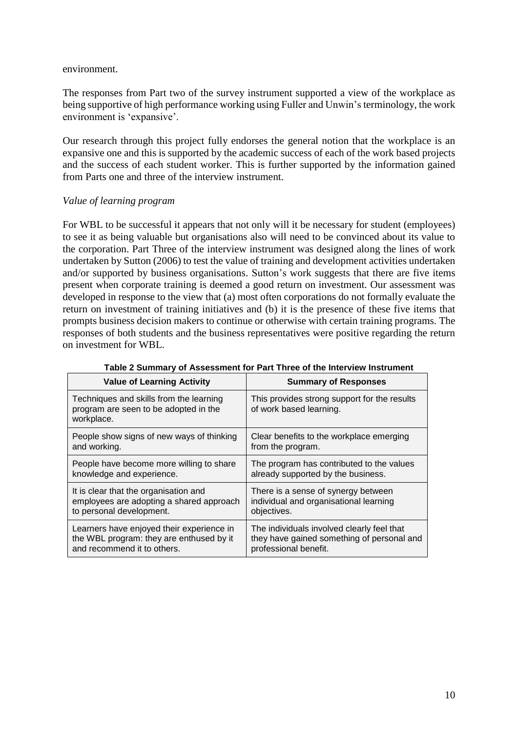#### environment.

The responses from Part two of the survey instrument supported a view of the workplace as being supportive of high performance working using Fuller and Unwin's terminology, the work environment is 'expansive'.

Our research through this project fully endorses the general notion that the workplace is an expansive one and this is supported by the academic success of each of the work based projects and the success of each student worker. This is further supported by the information gained from Parts one and three of the interview instrument.

### *Value of learning program*

For WBL to be successful it appears that not only will it be necessary for student (employees) to see it as being valuable but organisations also will need to be convinced about its value to the corporation. Part Three of the interview instrument was designed along the lines of work undertaken by Sutton (2006) to test the value of training and development activities undertaken and/or supported by business organisations. Sutton's work suggests that there are five items present when corporate training is deemed a good return on investment. Our assessment was developed in response to the view that (a) most often corporations do not formally evaluate the return on investment of training initiatives and (b) it is the presence of these five items that prompts business decision makers to continue or otherwise with certain training programs. The responses of both students and the business representatives were positive regarding the return on investment for WBL.

| <b>Value of Learning Activity</b>                                                              | <b>Summary of Responses</b>                                             |
|------------------------------------------------------------------------------------------------|-------------------------------------------------------------------------|
| Techniques and skills from the learning<br>program are seen to be adopted in the<br>workplace. | This provides strong support for the results<br>of work based learning. |
| People show signs of new ways of thinking                                                      | Clear benefits to the workplace emerging                                |
| and working.                                                                                   | from the program.                                                       |
| People have become more willing to share                                                       | The program has contributed to the values                               |
| knowledge and experience.                                                                      | already supported by the business.                                      |
| It is clear that the organisation and                                                          | There is a sense of synergy between                                     |
| employees are adopting a shared approach                                                       | individual and organisational learning                                  |
| to personal development.                                                                       | objectives.                                                             |
| Learners have enjoyed their experience in                                                      | The individuals involved clearly feel that                              |
| the WBL program: they are enthused by it                                                       | they have gained something of personal and                              |
| and recommend it to others.                                                                    | professional benefit.                                                   |

| Table 2 Summary of Assessment for Part Three of the Interview Instrument |  |
|--------------------------------------------------------------------------|--|
|--------------------------------------------------------------------------|--|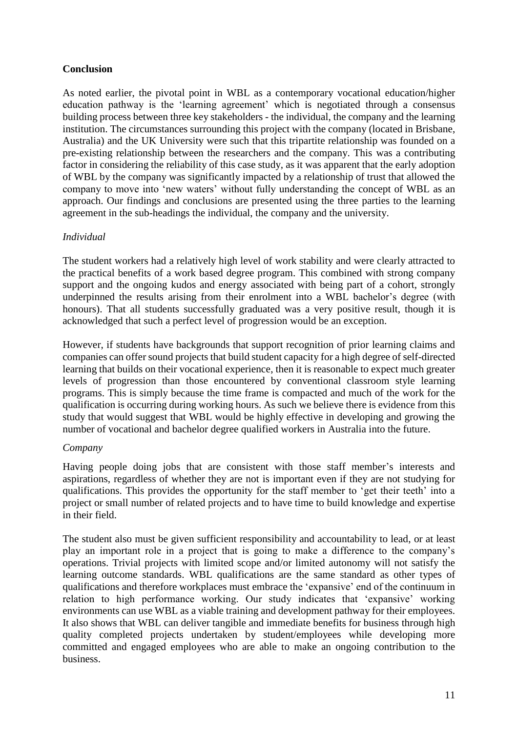## **Conclusion**

As noted earlier, the pivotal point in WBL as a contemporary vocational education/higher education pathway is the 'learning agreement' which is negotiated through a consensus building process between three key stakeholders - the individual, the company and the learning institution. The circumstances surrounding this project with the company (located in Brisbane, Australia) and the UK University were such that this tripartite relationship was founded on a pre-existing relationship between the researchers and the company. This was a contributing factor in considering the reliability of this case study, as it was apparent that the early adoption of WBL by the company was significantly impacted by a relationship of trust that allowed the company to move into 'new waters' without fully understanding the concept of WBL as an approach. Our findings and conclusions are presented using the three parties to the learning agreement in the sub-headings the individual, the company and the university.

## *Individual*

The student workers had a relatively high level of work stability and were clearly attracted to the practical benefits of a work based degree program. This combined with strong company support and the ongoing kudos and energy associated with being part of a cohort, strongly underpinned the results arising from their enrolment into a WBL bachelor's degree (with honours). That all students successfully graduated was a very positive result, though it is acknowledged that such a perfect level of progression would be an exception.

However, if students have backgrounds that support recognition of prior learning claims and companies can offer sound projects that build student capacity for a high degree of self-directed learning that builds on their vocational experience, then it is reasonable to expect much greater levels of progression than those encountered by conventional classroom style learning programs. This is simply because the time frame is compacted and much of the work for the qualification is occurring during working hours. As such we believe there is evidence from this study that would suggest that WBL would be highly effective in developing and growing the number of vocational and bachelor degree qualified workers in Australia into the future.

## *Company*

Having people doing jobs that are consistent with those staff member's interests and aspirations, regardless of whether they are not is important even if they are not studying for qualifications. This provides the opportunity for the staff member to 'get their teeth' into a project or small number of related projects and to have time to build knowledge and expertise in their field.

The student also must be given sufficient responsibility and accountability to lead, or at least play an important role in a project that is going to make a difference to the company's operations. Trivial projects with limited scope and/or limited autonomy will not satisfy the learning outcome standards. WBL qualifications are the same standard as other types of qualifications and therefore workplaces must embrace the 'expansive' end of the continuum in relation to high performance working. Our study indicates that 'expansive' working environments can use WBL as a viable training and development pathway for their employees. It also shows that WBL can deliver tangible and immediate benefits for business through high quality completed projects undertaken by student/employees while developing more committed and engaged employees who are able to make an ongoing contribution to the business.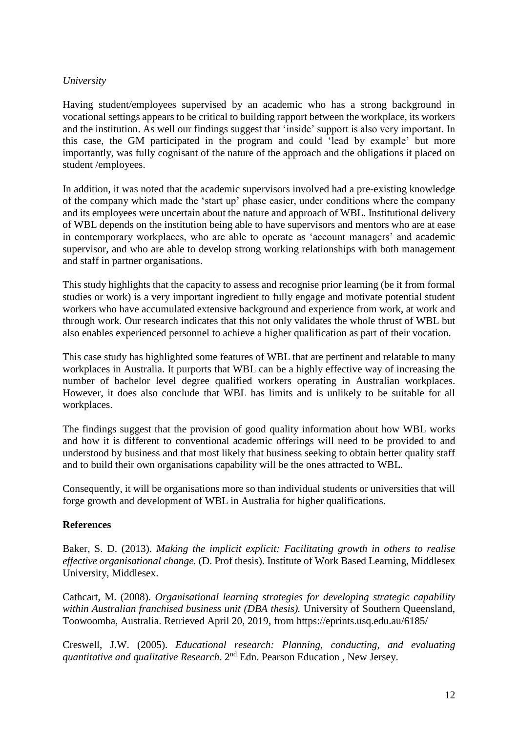## *University*

Having student/employees supervised by an academic who has a strong background in vocational settings appears to be critical to building rapport between the workplace, its workers and the institution. As well our findings suggest that 'inside' support is also very important. In this case, the GM participated in the program and could 'lead by example' but more importantly, was fully cognisant of the nature of the approach and the obligations it placed on student /employees.

In addition, it was noted that the academic supervisors involved had a pre-existing knowledge of the company which made the 'start up' phase easier, under conditions where the company and its employees were uncertain about the nature and approach of WBL. Institutional delivery of WBL depends on the institution being able to have supervisors and mentors who are at ease in contemporary workplaces, who are able to operate as 'account managers' and academic supervisor, and who are able to develop strong working relationships with both management and staff in partner organisations.

This study highlights that the capacity to assess and recognise prior learning (be it from formal studies or work) is a very important ingredient to fully engage and motivate potential student workers who have accumulated extensive background and experience from work, at work and through work. Our research indicates that this not only validates the whole thrust of WBL but also enables experienced personnel to achieve a higher qualification as part of their vocation.

This case study has highlighted some features of WBL that are pertinent and relatable to many workplaces in Australia. It purports that WBL can be a highly effective way of increasing the number of bachelor level degree qualified workers operating in Australian workplaces. However, it does also conclude that WBL has limits and is unlikely to be suitable for all workplaces.

The findings suggest that the provision of good quality information about how WBL works and how it is different to conventional academic offerings will need to be provided to and understood by business and that most likely that business seeking to obtain better quality staff and to build their own organisations capability will be the ones attracted to WBL.

Consequently, it will be organisations more so than individual students or universities that will forge growth and development of WBL in Australia for higher qualifications.

## **References**

Baker, S. D. (2013). *Making the implicit explicit: Facilitating growth in others to realise effective organisational change.* (D. Prof thesis). Institute of Work Based Learning, Middlesex University, Middlesex.

Cathcart, M. (2008). *Organisational learning strategies for developing strategic capability within Australian franchised business unit (DBA thesis).* University of Southern Queensland, Toowoomba, Australia. Retrieved April 20, 2019, from<https://eprints.usq.edu.au/6185/>

Creswell, J.W. (2005). *Educational research: Planning, conducting, and evaluating*  quantitative and qualitative Research. 2<sup>nd</sup> Edn. Pearson Education, New Jersey.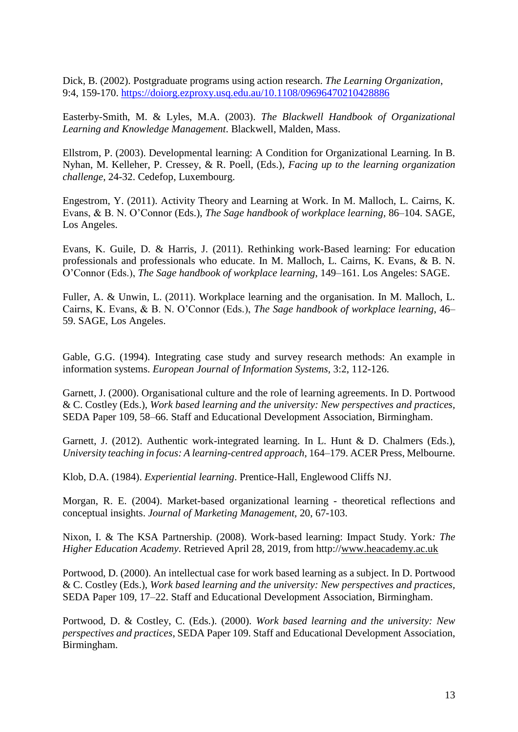[Dick, B.](https://www-emerald-com.ezproxy.usq.edu.au/insight/search?q=Bob%20Dick) (2002). Postgraduate programs using action research. *[The Learning Organization](https://www-emerald-com.ezproxy.usq.edu.au/insight/publication/issn/0969-6474)*, 9:4, 159-170. <https://doiorg.ezproxy.usq.edu.au/10.1108/09696470210428886>

Easterby-Smith, M. & Lyles, M.A. (2003). *The Blackwell Handbook of Organizational Learning and Knowledge Management*. Blackwell, Malden, Mass.

Ellstrom, P. (2003). Developmental learning: A Condition for Organizational Learning. In B. Nyhan, M. Kelleher, P. Cressey, & R. Poell, (Eds.), *Facing up to the learning organization challenge*, 24-32. Cedefop, Luxembourg.

Engestrom, Y. (2011). Activity Theory and Learning at Work. In M. Malloch, L. Cairns, K. Evans, & B. N. O'Connor (Eds.), *The Sage handbook of workplace learning,* 86–104. SAGE, Los Angeles.

Evans, K. Guile, D. & Harris, J. (2011). Rethinking work-Based learning: For education professionals and professionals who educate. In M. Malloch, L. Cairns, K. Evans, & B. N. O'Connor (Eds.), *The Sage handbook of workplace learning*, 149–161. Los Angeles: SAGE.

Fuller, A. & Unwin, L. (2011). Workplace learning and the organisation. In M. Malloch, L. Cairns, K. Evans, & B. N. O'Connor (Eds.), *The Sage handbook of workplace learning*, 46– 59. SAGE, Los Angeles.

Gable, G.G. (1994). Integrating case study and survey research methods: An example in information systems. *European Journal of Information Systems,* 3:2, 112-126.

Garnett, J. (2000). Organisational culture and the role of learning agreements. In D. Portwood & C. Costley (Eds.), *Work based learning and the university: New perspectives and practices,* SEDA Paper 109, 58–66. Staff and Educational Development Association, Birmingham.

Garnett, J. (2012). Authentic work-integrated learning. In L. Hunt & D. Chalmers (Eds.), *University teaching in focus: A learning-centred approach*, 164–179. ACER Press, Melbourne.

Klob, D.A. (1984). *Experiential learning*. Prentice-Hall, Englewood Cliffs NJ.

Morgan, R. E. (2004). Market-based organizational learning - theoretical reflections and conceptual insights. *Journal of Marketing Management,* 20, 67-103.

Nixon, I. & The KSA Partnership. (2008). Work-based learning: Impact Study. York*: The Higher Education Academy*. Retrieved April 28, 2019, from http:/[/www.heacademy.ac.uk](http://www.heacademy.ac.uk/)

Portwood, D. (2000). An intellectual case for work based learning as a subject. In D. Portwood & C. Costley (Eds.), *Work based learning and the university: New perspectives and practices,* SEDA Paper 109, 17–22. Staff and Educational Development Association, Birmingham.

Portwood, D. & Costley, C. (Eds.). (2000). *Work based learning and the university: New perspectives and practices*, SEDA Paper 109. Staff and Educational Development Association, Birmingham.